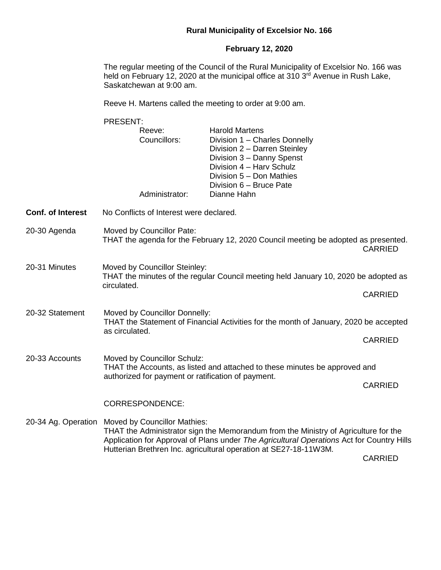## **Rural Municipality of Excelsior No. 166**

## **February 12, 2020**

The regular meeting of the Council of the Rural Municipality of Excelsior No. 166 was held on February 12, 2020 at the municipal office at 310  $3<sup>rd</sup>$  Avenue in Rush Lake, Saskatchewan at 9:00 am.

Reeve H. Martens called the meeting to order at 9:00 am.

PRESENT: Reeve: Harold Martens Councillors: Division 1 – Charles Donnelly Division 2 – Darren Steinley Division 3 – Danny Spenst Division 4 – Harv Schulz Division 5 – Don Mathies Division 6 – Bruce Pate Administrator: Dianne Hahn **Conf. of Interest** No Conflicts of Interest were declared. 20-30 Agenda Moved by Councillor Pate: THAT the agenda for the February 12, 2020 Council meeting be adopted as presented. CARRIED 20-31 Minutes Moved by Councillor Steinley: THAT the minutes of the regular Council meeting held January 10, 2020 be adopted as circulated. CARRIED 20-32 Statement Moved by Councillor Donnelly: THAT the Statement of Financial Activities for the month of January, 2020 be accepted as circulated. CARRIED 20-33 Accounts Moved by Councillor Schulz: THAT the Accounts, as listed and attached to these minutes be approved and authorized for payment or ratification of payment. CARRIED CORRESPONDENCE: 20-34 Ag. Operation Moved by Councillor Mathies: THAT the Administrator sign the Memorandum from the Ministry of Agriculture for the Application for Approval of Plans under *The Agricultural Operations* Act for Country Hills Hutterian Brethren Inc. agricultural operation at SE27-18-11W3M.

CARRIED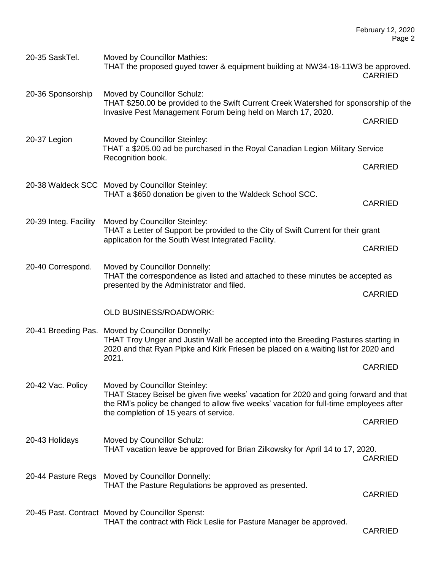| 20-35 SaskTel.        | <b>Moved by Councillor Mathies:</b><br>THAT the proposed guyed tower & equipment building at NW34-18-11W3 be approved.                                                                                                                                    | <b>CARRIED</b> |
|-----------------------|-----------------------------------------------------------------------------------------------------------------------------------------------------------------------------------------------------------------------------------------------------------|----------------|
| 20-36 Sponsorship     | Moved by Councillor Schulz:<br>THAT \$250.00 be provided to the Swift Current Creek Watershed for sponsorship of the<br>Invasive Pest Management Forum being held on March 17, 2020.                                                                      |                |
|                       |                                                                                                                                                                                                                                                           | <b>CARRIED</b> |
| 20-37 Legion          | Moved by Councillor Steinley:<br>THAT a \$205.00 ad be purchased in the Royal Canadian Legion Military Service<br>Recognition book.                                                                                                                       |                |
|                       |                                                                                                                                                                                                                                                           | <b>CARRIED</b> |
|                       | 20-38 Waldeck SCC Moved by Councillor Steinley:<br>THAT a \$650 donation be given to the Waldeck School SCC.                                                                                                                                              | <b>CARRIED</b> |
| 20-39 Integ. Facility | Moved by Councillor Steinley:<br>THAT a Letter of Support be provided to the City of Swift Current for their grant<br>application for the South West Integrated Facility.                                                                                 |                |
|                       |                                                                                                                                                                                                                                                           | <b>CARRIED</b> |
| 20-40 Correspond.     | Moved by Councillor Donnelly:<br>THAT the correspondence as listed and attached to these minutes be accepted as<br>presented by the Administrator and filed.                                                                                              |                |
|                       |                                                                                                                                                                                                                                                           | <b>CARRIED</b> |
|                       | <b>OLD BUSINESS/ROADWORK:</b>                                                                                                                                                                                                                             |                |
|                       | 20-41 Breeding Pas. Moved by Councillor Donnelly:<br>THAT Troy Unger and Justin Wall be accepted into the Breeding Pastures starting in<br>2020 and that Ryan Pipke and Kirk Friesen be placed on a waiting list for 2020 and<br>2021.                    |                |
|                       |                                                                                                                                                                                                                                                           | <b>CARRIED</b> |
| 20-42 Vac. Policy     | Moved by Councillor Steinley:<br>THAT Stacey Beisel be given five weeks' vacation for 2020 and going forward and that<br>the RM's policy be changed to allow five weeks' vacation for full-time employees after<br>the completion of 15 years of service. |                |
|                       |                                                                                                                                                                                                                                                           | <b>CARRIED</b> |
| 20-43 Holidays        | Moved by Councillor Schulz:<br>THAT vacation leave be approved for Brian Zilkowsky for April 14 to 17, 2020.                                                                                                                                              | <b>CARRIED</b> |
| 20-44 Pasture Regs    | Moved by Councillor Donnelly:<br>THAT the Pasture Regulations be approved as presented.                                                                                                                                                                   | <b>CARRIED</b> |
|                       | 20-45 Past. Contract Moved by Councillor Spenst:<br>THAT the contract with Rick Leslie for Pasture Manager be approved.                                                                                                                                   | <b>CARRIED</b> |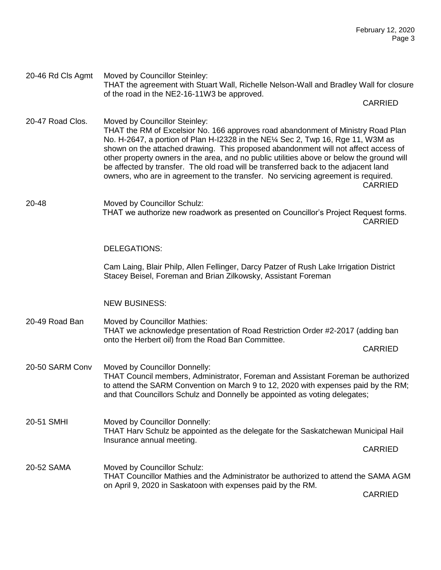of the road in the NE2-16-11W3 be approved. CARRIED 20-47 Road Clos. Moved by Councillor Steinley: THAT the RM of Excelsior No. 166 approves road abandonment of Ministry Road Plan No. H-2647, a portion of Plan H-I2328 in the NE¼ Sec 2, Twp 16, Rge 11, W3M as shown on the attached drawing. This proposed abandonment will not affect access of other property owners in the area, and no public utilities above or below the ground will be affected by transfer. The old road will be transferred back to the adjacent land owners, who are in agreement to the transfer. No servicing agreement is required. CARRIED 20-48 Moved by Councillor Schulz: THAT we authorize new roadwork as presented on Councillor's Project Request forms. CARRIED DELEGATIONS: Cam Laing, Blair Philp, Allen Fellinger, Darcy Patzer of Rush Lake Irrigation District Stacey Beisel, Foreman and Brian Zilkowsky, Assistant Foreman NEW BUSINESS: 20-49 Road Ban Moved by Councillor Mathies:

THAT the agreement with Stuart Wall, Richelle Nelson-Wall and Bradley Wall for closure

20-46 Rd Cls Agmt Moved by Councillor Steinley:

THAT we acknowledge presentation of Road Restriction Order #2-2017 (adding ban onto the Herbert oil) from the Road Ban Committee.

CARRIED

- 20-50 SARM Conv Moved by Councillor Donnelly: THAT Council members, Administrator, Foreman and Assistant Foreman be authorized to attend the SARM Convention on March 9 to 12, 2020 with expenses paid by the RM; and that Councillors Schulz and Donnelly be appointed as voting delegates;
- 20-51 SMHI Moved by Councillor Donnelly: THAT Harv Schulz be appointed as the delegate for the Saskatchewan Municipal Hail Insurance annual meeting. CARRIED
- 20-52 SAMA Moved by Councillor Schulz: THAT Councillor Mathies and the Administrator be authorized to attend the SAMA AGM on April 9, 2020 in Saskatoon with expenses paid by the RM.

**CARRIED**